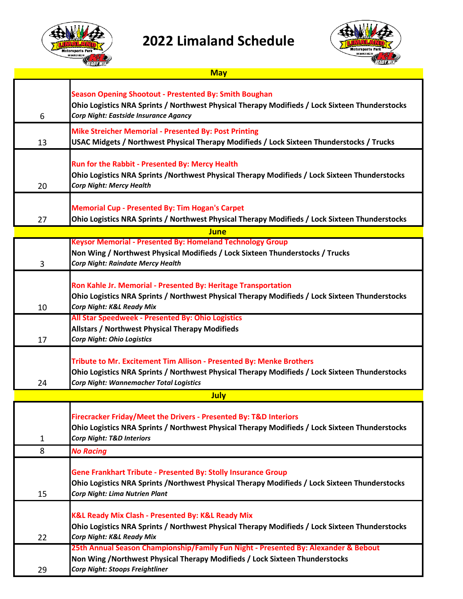

## **2022 Limaland Schedule**



|             | لى <i>لىق قاتا</i> ت<br><b>May</b>                                                                                                                                                                                       |  |  |
|-------------|--------------------------------------------------------------------------------------------------------------------------------------------------------------------------------------------------------------------------|--|--|
| 6           | <b>Season Opening Shootout - Prestented By: Smith Boughan</b><br>Ohio Logistics NRA Sprints / Northwest Physical Therapy Modifieds / Lock Sixteen Thunderstocks<br><b>Corp Night: Eastside Insurance Agancy</b>          |  |  |
| 13          | <b>Mike Streicher Memorial - Presented By: Post Printing</b><br>USAC Midgets / Northwest Physical Therapy Modifieds / Lock Sixteen Thunderstocks / Trucks                                                                |  |  |
| 20          | <b>Run for the Rabbit - Presented By: Mercy Health</b><br>Ohio Logistics NRA Sprints /Northwest Physical Therapy Modifieds / Lock Sixteen Thunderstocks<br><b>Corp Night: Mercy Health</b>                               |  |  |
| 27          | <b>Memorial Cup - Presented By: Tim Hogan's Carpet</b><br>Ohio Logistics NRA Sprints / Northwest Physical Therapy Modifieds / Lock Sixteen Thunderstocks                                                                 |  |  |
| <b>June</b> |                                                                                                                                                                                                                          |  |  |
| 3           | <b>Keysor Memorial - Presented By: Homeland Technology Group</b><br>Non Wing / Northwest Physical Modifieds / Lock Sixteen Thunderstocks / Trucks<br><b>Corp Night: Raindate Mercy Health</b>                            |  |  |
| 10          | Ron Kahle Jr. Memorial - Presented By: Heritage Transportation<br>Ohio Logistics NRA Sprints / Northwest Physical Therapy Modifieds / Lock Sixteen Thunderstocks<br>Corp Night: K&L Ready Mix                            |  |  |
| 17          | All Star Speedweek - Presented By: Ohio Logistics<br><b>Allstars / Northwest Physical Therapy Modifieds</b><br><b>Corp Night: Ohio Logistics</b>                                                                         |  |  |
| 24          | Tribute to Mr. Excitement Tim Allison - Presented By: Menke Brothers<br>Ohio Logistics NRA Sprints / Northwest Physical Therapy Modifieds / Lock Sixteen Thunderstocks<br><b>Corp Night: Wannemacher Total Logistics</b> |  |  |
|             | July                                                                                                                                                                                                                     |  |  |
| 1           | Firecracker Friday/Meet the Drivers - Presented By: T&D Interiors<br>Ohio Logistics NRA Sprints / Northwest Physical Therapy Modifieds / Lock Sixteen Thunderstocks<br><b>Corp Night: T&amp;D Interiors</b>              |  |  |
| 8           | <b>No Racing</b>                                                                                                                                                                                                         |  |  |
| 15          | <b>Gene Frankhart Tribute - Presented By: Stolly Insurance Group</b><br>Ohio Logistics NRA Sprints /Northwest Physical Therapy Modifieds / Lock Sixteen Thunderstocks<br><b>Corp Night: Lima Nutrien Plant</b>           |  |  |
|             | <b>K&amp;L Ready Mix Clash - Presented By: K&amp;L Ready Mix</b><br>Ohio Logistics NRA Sprints / Northwest Physical Therapy Modifieds / Lock Sixteen Thunderstocks                                                       |  |  |

- 22 *Corp Night: K&L Ready Mix*
	- 29 **25th Annual Season Championship/Family Fun Night - Presented By: Alexander & Bebout Non Wing /Northwest Physical Therapy Modifieds / Lock Sixteen Thunderstocks** *Corp Night: Stoops Freightliner*